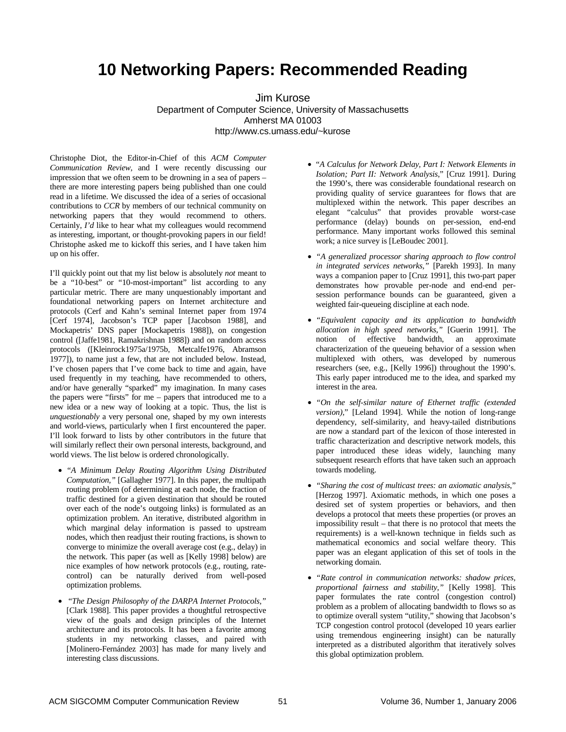## **10 Networking Papers: Recommended Reading**

Jim Kurose Department of Computer Science, University of Massachusetts Amherst MA 01003 http://www.cs.umass.edu/~kurose

Christophe Diot, the Editor-in-Chief of this *ACM Computer Communication Review*, and I were recently discussing our impression that we often seem to be drowning in a sea of papers – there are more interesting papers being published than one could read in a lifetime. We discussed the idea of a series of occasional contributions to *CCR* by members of our technical community on networking papers that they would recommend to others. Certainly, *I'd* like to hear what my colleagues would recommend as interesting, important, or thought-provoking papers in our field! Christophe asked me to kickoff this series, and I have taken him up on his offer.

I'll quickly point out that my list below is absolutely *not* meant to be a "10-best" or "10-most-important" list according to any particular metric. There are many unquestionably important and foundational networking papers on Internet architecture and protocols (Cerf and Kahn's seminal Internet paper from 1974 [Cerf 1974], Jacobson's TCP paper [Jacobson 1988], and Mockapetris' DNS paper [Mockapetris 1988]), on congestion control ([Jaffe1981, Ramakrishnan 1988]) and on random access protocols ([Kleinrock1975a/1975b, Metcalfe1976, Abramson 1977]), to name just a few, that are not included below. Instead, I've chosen papers that I've come back to time and again, have used frequently in my teaching, have recommended to others, and/or have generally "sparked" my imagination. In many cases the papers were "firsts" for me – papers that introduced me to a new idea or a new way of looking at a topic. Thus, the list is *unquestionably* a very personal one, shaped by my own interests and world-views, particularly when I first encountered the paper. I'll look forward to lists by other contributors in the future that will similarly reflect their own personal interests, background, and world views. The list below is ordered chronologically.

- *"A Minimum Delay Routing Algorithm Using Distributed Computation,"* [Gallagher 1977]. In this paper, the multipath routing problem (of determining at each node, the fraction of traffic destined for a given destination that should be routed over each of the node's outgoing links) is formulated as an optimization problem. An iterative, distributed algorithm in which marginal delay information is passed to upstream nodes, which then readjust their routing fractions, is shown to converge to minimize the overall average cost (e.g., delay) in the network. This paper (as well as [Kelly 1998] below) are nice examples of how network protocols (e.g., routing, ratecontrol) can be naturally derived from well-posed optimization problems.
- "*The Design Philosophy of the DARPA Internet Protocols,"* [Clark 1988]. This paper provides a thoughtful retrospective view of the goals and design principles of the Internet architecture and its protocols. It has been a favorite among students in my networking classes, and paired with [Molinero-Fernández 2003] has made for many lively and interesting class discussions.
- "*A Calculus for Network Delay, Part I: Network Elements in Isolation; Part II: Network Analysis*," [Cruz 1991]. During the 1990's, there was considerable foundational research on providing quality of service guarantees for flows that are multiplexed within the network. This paper describes an elegant "calculus" that provides provable worst-case performance (delay) bounds on per-session, end-end performance. Many important works followed this seminal work; a nice survey is [LeBoudec 2001].
- *"A generalized processor sharing approach to flow control in integrated services networks,"* [Parekh 1993]. In many ways a companion paper to [Cruz 1991], this two-part paper demonstrates how provable per-node and end-end persession performance bounds can be guaranteed, given a weighted fair-queueing discipline at each node.
- *"Equivalent capacity and its application to bandwidth allocation in high speed networks,"* [Guerin 1991]. The notion of effective bandwidth, an approximate characterization of the queueing behavior of a session when multiplexed with others, was developed by numerous researchers (see, e.g., [Kelly 1996]) throughout the 1990's. This early paper introduced me to the idea, and sparked my interest in the area.
- *"On the self-similar nature of Ethernet traffic (extended version),*" [Leland 1994]. While the notion of long-range dependency, self-similarity, and heavy-tailed distributions are now a standard part of the lexicon of those interested in traffic characterization and descriptive network models, this paper introduced these ideas widely, launching many subsequent research efforts that have taken such an approach towards modeling.
- *"Sharing the cost of multicast trees: an axiomatic analysis*," [Herzog 1997]. Axiomatic methods, in which one poses a desired set of system properties or behaviors, and then develops a protocol that meets these properties (or proves an impossibility result – that there is no protocol that meets the requirements) is a well-known technique in fields such as mathematical economics and social welfare theory. This paper was an elegant application of this set of tools in the networking domain.
- *"Rate control in communication networks: shadow prices, proportional fairness and stability,"* [Kelly 1998]. This paper formulates the rate control (congestion control) problem as a problem of allocating bandwidth to flows so as to optimize overall system "utility," showing that Jacobson's TCP congestion control protocol (developed 10 years earlier using tremendous engineering insight) can be naturally interpreted as a distributed algorithm that iteratively solves this global optimization problem.